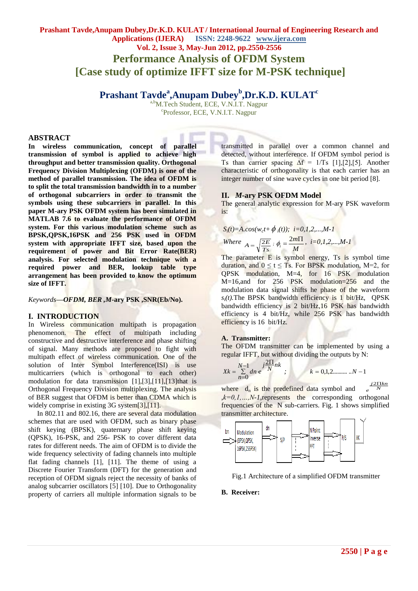# **Prashant Tavde,Anupam Dubey,Dr.K.D. KULAT / International Journal of Engineering Research and Applications (IJERA) ISSN: 2248-9622 www.ijera.com Vol. 2, Issue 3, May-Jun 2012, pp.2550-2556 Performance Analysis of OFDM System [Case study of optimize IFFT size for M-PSK technique]**

# **Prashant Tavde<sup>a</sup> ,Anupam Dubey<sup>b</sup> ,Dr.K.D. KULAT<sup>c</sup>**

a,b<sub>M.Tech</sub> Student, ECE, V.N.I.T. Nagpur c Professor, ECE, V.N.I.T. Nagpur

#### **ABSTRACT**

**In wireless communication, concept of parallel transmission of symbol is applied to achieve high throughput and better transmission quality. Orthogonal Frequency Division Multiplexing (OFDM) is one of the method of parallel transmission. The idea of OFDM is to split the total transmission bandwidth in to a number of orthogonal subcarriers in order to transmit the symbols using these subcarriers in parallel. In this paper M-ary PSK OFDM system has been simulated in MATLAB 7.6 to evaluate the performance of OFDM system. For this various modulation scheme such as BPSK,QPSK,16PSK and 256 PSK used in OFDM system with appropriate IFFT size, based upon the requirement of power and Bit Error Rate(BER) analysis. For selected modulation technique with a required power and BER, lookup table type arrangement has been provided to know the optimum size of IFFT.** 

*Keywords—OFDM, BER ,M-***ary PSK ,SNR(Eb/No).**

#### **I. INTRODUCTION**

In Wireless communication multipath is propagation phenomenon. The effect of multipath including constructive and destructive interference and phase shifting of signal. Many methods are proposed to fight with multipath effect of wireless communication. One of the solution of Inter Symbol Interference(ISI) is use multicarriers (which is orthogonal to each other) modulation for data transmission [1],[3],[11],[13]that is Orthogonal Frequency Division multiplexing. The analysis of BER suggest that OFDM is better than CDMA which is widely comprise in existing 3G system[3],[11].

 In 802.11 and 802.16, there are several data modulation schemes that are used with OFDM, such as binary phase shift keying (BPSK), quaternary phase shift keying (QPSK), 16-PSK, and 256- PSK to cover different data rates for different needs. The aim of OFDM is to divide the wide frequency selectivity of fading channels into multiple flat fading channels [1], [11]. The theme of using a Discrete Fourier Transform (DFT) for the generation and reception of OFDM signals reject the necessity of banks of analog subcarrier oscillators [5] [10]. Due to Orthogonality property of carriers all multiple information signals to be transmitted in parallel over a common channel and detected, without interference. If OFDM symbol period is Ts than carrier spacing  $\Delta f = 1/Ts$  [1],[2],[5]. Another characteristic of orthogonality is that each carrier has an integer number of sine wave cycles in one bit period [8].

#### **II.** *M***-ary PSK OFDM Model**

The general analytic expression for M-ary PSK waveform is:

$$
S_i(t)=A\cdot cos(w_c t + \phi_i(t)); \quad i=0,1,2,...,M-1
$$

Where 
$$
A = \sqrt{\frac{2E}{Ts}}
$$
,  $\phi_i = \frac{2m\Pi}{M}$ ,  $i = 0, 1, 2, ..., M-1$ 

The parameter  $E$  is symbol energy,  $T_s$  is symbol time duration, and  $0 \le t \le T_s$ . For BPSK modulation, M=2, for QPSK modulation, M=4, for 16 PSK modulation M=16,and for 256 PSK modulation=256 and the modulation data signal shifts he phase of the waveform  $s_i(t)$ . The BPSK bandwidth efficiency is 1 bit/Hz, QPSK bandwidth efficiency is 2 bit/Hz,16 PSK has bandwidth efficiency is 4 bit/Hz, while 256 PSK has bandwidth efficiency is 16 bit/Hz.

#### **A. Transmitter:**

The OFDM transmitter can be implemented by using a regular IFFT, but without dividing the outputs by N:

$$
Xk = \sum_{n=0}^{N-1} dn \, e^{j \frac{2 \Pi}{N} nk} \, ; \qquad k = 0,1,2........N-1
$$

where  $d_n$  is the predefined data symbol and  $\frac{j2\Pi kn}{N}$ *e*  $k=0,1,...,N-1$ , represents the corresponding orthogonal frequencies of the N sub-carriers. Fig. 1 shows simplified transmitter architecture.



Fig.1 Architecture of a simplified OFDM transmitter

#### **B. Receiver:**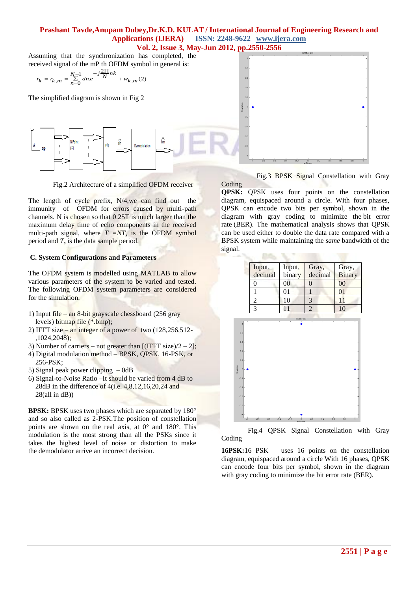Assuming that the synchronization has completed, the received signal of the mP th OFDM symbol in general is:

$$
r_{k} = r_{k,m} = \sum_{n=0}^{N-1} d_{n,e} \frac{-j\frac{2\Pi}{N}nk}{1 + w_{k,m}(2)}
$$

The simplified diagram is shown in Fig 2



Fig.2 Architecture of a simplified OFDM receiver

The length of cycle prefix, N/4,we can find out the immunity of OFDM for errors caused by multi-path channels. N is chosen so that 0.25T is much larger than the maximum delay time of echo components in the received multi-path signal, where  $T = NT_s$  is the OFDM symbol period and *T<sup>s</sup>* is the data sample period.

#### **C. System Configurations and Parameters**

The OFDM system is modelled using MATLAB to allow various parameters of the system to be varied and tested. The following OFDM system parameters are considered for the simulation.

- 1) Input file an 8-bit grayscale chessboard (256 gray levels) bitmap file (\*.bmp);
- 2) IFFT size an integer of a power of two  $(128, 256, 512$ -,1024,2048);
- 3) Number of carriers not greater than  $[(IFFT size)/2 2];$
- 4) Digital modulation method BPSK, QPSK, 16-PSK, or 256-PSK;
- 5) Signal peak power clipping 0dB
- 6) Signal-to-Noise Ratio –It should be varied from 4 dB to 28dB in the difference of 4(i.e. 4,8,12,16,20,24 and  $28$ (all in dB))

**BPSK:** BPSK uses two phases which are separated by 180° and so also called as 2-PSK.The position of constellation points are shown on the real axis, at  $0^{\circ}$  and  $180^{\circ}$ . This modulation is the most strong than all the PSKs since it takes the highest level of noise or distortion to make the demodulator arrive an incorrect decision.

 Fig.3 BPSK Signal Constellation with Gray Coding

**QPSK:** QPSK uses four points on the constellation diagram, equispaced around a circle. With four phases, QPSK can encode two bits per symbol, shown in the diagram with gray coding to minimize the bit error rate (BER). The mathematical analysis shows that QPSK can be used either to double the data rate compared with a BPSK system while maintaining the *same* bandwidth of the signal.



 Fig.4 QPSK Signal Constellation with Gray Coding

**16PSK:**16 PSK uses 16 points on the constellation diagram, equispaced around a circle With 16 phases, QPSK can encode four bits per symbol, shown in the diagram with gray coding to minimize the bit error rate (BER).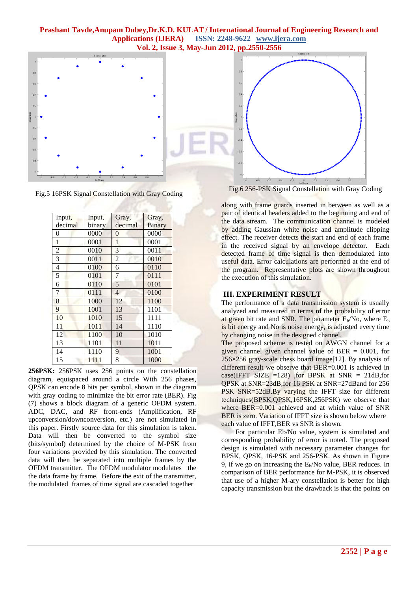

Fig.5 16PSK Signal Constellation with Gray Coding

| Input,         | Input, | Gray,          | Gray,         |
|----------------|--------|----------------|---------------|
| decimal        | binary | decimal        | <b>Binary</b> |
| 0              | 0000   | 0              | 0000          |
| $\mathbf{1}$   | 0001   | $\mathbf{1}$   | 0001          |
| $\overline{c}$ | 0010   | $\overline{3}$ | 0011          |
| $\overline{3}$ | 0011   | $\overline{2}$ | 0010          |
| $\overline{4}$ | 0100   | 6              | 0110          |
| 5              | 0101   | 7              | 0111          |
| 6              | 0110   | 5              | 0101          |
| 7              | 0111   | $\overline{4}$ | 0100          |
| 8              | 1000   | 12             | 1100          |
| 9              | 1001   | 13             | 1101          |
| 10             | 1010   | 15             | 1111          |
| 11             | 1011   | 14             | 1110          |
| 12             | 1100   | 10             | 1010          |
| 13             | 1101   | 11             | 1011          |
| 14             | 1110   | 9              | 1001          |
| 15             | 1111   | 8              | 1000          |

**256PSK:** 256PSK uses 256 points on the constellation diagram, equispaced around a circle With 256 phases, QPSK can encode 8 bits per symbol, shown in the diagram with gray coding to minimize the bit error rate (BER). Fig (7) shows a block diagram of a generic OFDM system. ADC, DAC, and RF front-ends (Amplification, RF upconversion/downconversion, etc.) are not simulated in this paper. Firstly source data for this simulation is taken. Data will then be converted to the symbol size (bits/symbol) determined by the choice of M-PSK from four variations provided by this simulation. The converted data will then be separated into multiple frames by the OFDM transmitter. The OFDM modulator modulates the the data frame by frame. Before the exit of the transmitter, the modulated frames of time signal are cascaded together

Fig.6 256-PSK Signal Constellation with Gray Coding

along with frame guards inserted in between as well as a pair of identical headers added to the beginning and end of the data stream. The communication channel is modeled by adding Gaussian white noise and amplitude clipping effect. The receiver detects the start and end of each frame in the received signal by an envelope detector. Each detected frame of time signal is then demodulated into useful data. Error calculations are performed at the end of the program. Representative plots are shown throughout the execution of this simulation.

### **III. EXPERIMENT RESULT**

The performance of a data transmission system is usually analyzed and measured in terms **of** the probability of error at given bit rate and SNR. The parameter  $E_b/N_o$ , where  $E_b$ is bit energy and No is noise energy, is adjusted every time by changing noise in the designed channel.

The proposed scheme is tested on AWGN channel for a given channel given channel value of BER = 0.001, for  $256\times256$  gray-scale chess board image [12]. By analysis of different result we observe that BER=0.001 is achieved in case(IFFT SIZE =128) ,for BPSK at SNR = 21dB,for QPSK at SNR=23dB,for 16 PSK at SNR=27dBand for 256 PSK SNR=52dB.By varying the IFFT size for different techniques(BPSK,QPSK,16PSK,256PSK) we observe that where BER=0.001 achieved and at which value of SNR BER is zero. Variation of IFFT size is shown below where each value of IFFT,BER vs SNR is shown.

 For particular Eb/No value, system is simulated and corresponding probability of error is noted. The proposed design is simulated with necessary parameter changes for BPSK, QPSK, 16-PSK and 256-PSK. As shown in Figure 9, if we go on increasing the  $E_b/N$ o value, BER reduces. In comparison of BER performance for M-PSK, it is observed that use of a higher M-ary constellation is better for high capacity transmission but the drawback is that the points on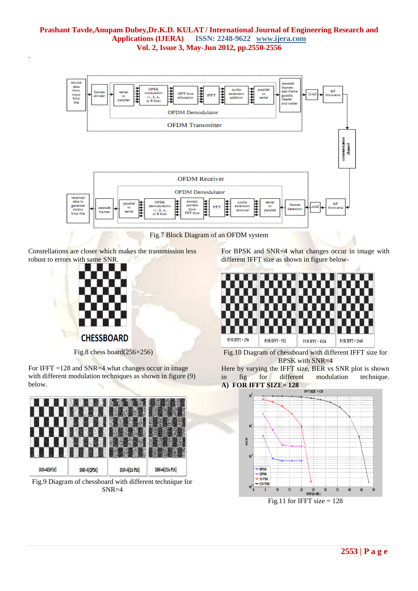

Fig.7 Block Diagram of an OFDM system

Constellations are closer which makes the transmission less robust to errors with same SNR.



.

Fig.8 chess board(256×256)

For IFFT  $=128$  and SNR $=4$  what changes occur in image with different modulation techniques as shown in figure (9) below.



Fig.9 Diagram of chessboard with different technique for SNR=4

For BPSK and SNR=4 what changes occur in image with different IFFT size as shown in figure below-



Fig.10 Diagram of chessboard with different IFFT size for BPSK with SNR=4

Here by varying the IFFT size, BER vs SNR plot is shown in fig for different modulation technique. **A) FOR IFFT SIZE= 128**

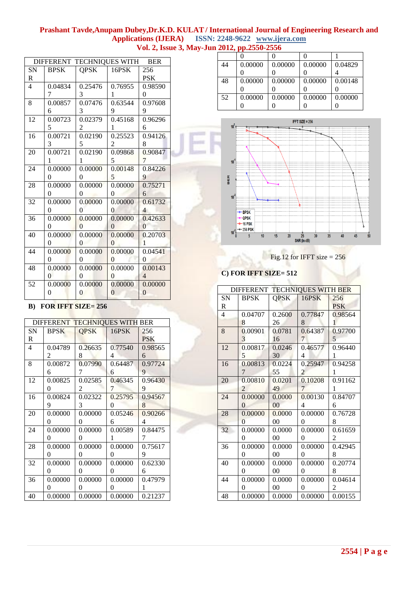| DIFFERENT TECHNIQUES WITH<br><b>BER</b> |                |                |                |                |  |
|-----------------------------------------|----------------|----------------|----------------|----------------|--|
| SN                                      | <b>BPSK</b>    | <b>OPSK</b>    | 16PSK          | 256            |  |
| R                                       |                |                |                | <b>PSK</b>     |  |
| $\overline{4}$                          | 0.04834        | 0.25476        | 0.76955        | 0.98590        |  |
|                                         | 7              | 3              | 1              | 0              |  |
| 8                                       | 0.00857        | 0.07476        | 0.63544        | 0.97608        |  |
|                                         | 6              | 3              | 9              | 9              |  |
| 12                                      | 0.00723        | 0.02379        | 0.45168        | 0.96296        |  |
|                                         | 5              | 2              | 1              | 6              |  |
| 16                                      | 0.00721        | 0.02190        | 0.25523        | 0.94126        |  |
|                                         | 3              | 5              | 2              | 8              |  |
| 20                                      | 0.00721        | 0.02190        | 0.09868        | 0.90847        |  |
|                                         | 1              | $\mathbf{1}$   | 5              | 7              |  |
| 24                                      | 0.00000        | 0.00000        | 0.00148        | 0.84226        |  |
|                                         | $\theta$       | $\theta$       | 5              | 9              |  |
| 28                                      | 0.00000        | 0.00000        | 0.00000        | 0.75271        |  |
|                                         | $\Omega$       | $\Omega$       | $\Omega$       | 6              |  |
| 32                                      | 0.00000        | 0.00000        | 0.00000        | 0.61732        |  |
|                                         | $\theta$       | $\theta$       | $\theta$       | 4              |  |
| 36                                      | 0.00000        | 0.00000        | 0.00000        | 0.42633        |  |
|                                         | $\Omega$       | $\theta$       | $\Omega$       | $\Omega$       |  |
| 40                                      | 0.00000        | 0.00000        | 0.00000        | 0.20703        |  |
|                                         | $\Omega$       | $\Omega$       | $\Omega$       | 1              |  |
| 44                                      | 0.00000        | 0.00000        | 0.00000        | 0.04541        |  |
|                                         | 0              | $\theta$       | $\Omega$       | $\theta$       |  |
| 48                                      | 0.00000        | 0.00000        | 0.00000        | 0.00143        |  |
|                                         | $\overline{0}$ | $\overline{0}$ | $\overline{0}$ | $\overline{4}$ |  |
| 52                                      | 0.00000        | 0.00000        | 0.00000        | 0.00000        |  |
|                                         | 0              | $\overline{0}$ | $\overline{0}$ | $\overline{0}$ |  |
|                                         |                |                |                |                |  |

# **B) FOR IFFT SIZE= 256**

| DIFFERENT TECHNIQUES WITH BER |             |             |         |            |  |
|-------------------------------|-------------|-------------|---------|------------|--|
| <b>SN</b>                     | <b>BPSK</b> | <b>OPSK</b> | 16PSK   | 256        |  |
| R                             |             |             |         | <b>PSK</b> |  |
| 4                             | 0.04789     | 0.26635     | 0.77540 | 0.98565    |  |
|                               | 2           | 8           | 4       | 6          |  |
| 8                             | 0.00872     | 0.07990     | 0.64487 | 0.97724    |  |
|                               | 6           | 7           | 6       | 9          |  |
| 12                            | 0.00825     | 0.02585     | 0.46345 | 0.96430    |  |
|                               | 0           | 2           | 7       | 9          |  |
| 16                            | 0.00824     | 0.02322     | 0.25795 | 0.94567    |  |
|                               | 9           | 3           | 0       | 8          |  |
| 20                            | 0.00000     | 0.00000     | 0.05246 | 0.90266    |  |
|                               | $\theta$    | 0           | 6       | 4          |  |
| 24                            | 0.00000     | 0.00000     | 0.00589 | 0.84475    |  |
|                               | 0           | 0           | 1       | 7          |  |
| 28                            | 0.00000     | 0.00000     | 0.00000 | 0.75617    |  |
|                               | 0           | 0           | 0       | 9          |  |
| 32                            | 0.00000     | 0.00000     | 0.00000 | 0.62330    |  |
|                               | $\Omega$    | 0           | 0       | 6          |  |
| 36                            | 0.00000     | 0.00000     | 0.00000 | 0.47979    |  |
|                               | 0           | $_{0}$      | 0       | 1          |  |
| 40                            | 0.00000     | 0.00000     | 0.00000 | 0.21237    |  |

| 44 | 0.00000 | 0.00000 | 0.00000 | 0.04829 |
|----|---------|---------|---------|---------|
|    |         |         |         |         |
| 48 | 0.00000 | 0.00000 | 0.00000 | 0.00148 |
|    |         |         |         |         |
| 52 | 0.00000 | 0.00000 | 0.00000 | 0.00000 |
|    |         |         |         |         |



Fig.12 for IFFT size  $= 256$ 

# **C) FOR IFFT SIZE= 512**

| DIFFERENT TECHNIQUES WITH BER |                |        |                |            |  |
|-------------------------------|----------------|--------|----------------|------------|--|
| SN                            | <b>BPSK</b>    | QPSK   | 16PSK          | 256        |  |
| $\mathbf R$                   |                |        |                | <b>PSK</b> |  |
| $\overline{4}$                | 0.04707        | 0.2600 | 0.77847        | 0.98564    |  |
|                               | 8              | 26     | 8              | 1          |  |
| 8                             | 0.00901        | 0.0781 | 0.64387        | 0.97700    |  |
|                               | 3              | 16     | 7              | 5          |  |
| 12                            | 0.00817        | 0.0246 | 0.46577        | 0.96440    |  |
|                               | 5              | 30     | 4              | 1          |  |
| 16                            | 0.00813        | 0.0224 | 0.25947        | 0.94258    |  |
|                               | 7              | 55     | $\mathfrak{D}$ | 1          |  |
| 20                            | 0.00810        | 0.0201 | 0.10208        | 0.91162    |  |
|                               | 2              | 49     | 7              | 1          |  |
| 24                            | 0.00000        | 0.0000 | 0.00130        | 0.84707    |  |
|                               | $\Omega$       | 00     | 4              | 6          |  |
| 28                            | 0.00000        | 0.0000 | 0.00000        | 0.76728    |  |
|                               | $\overline{0}$ | 00     | $\theta$       | 8          |  |
| 32                            | 0.00000        | 0.0000 | 0.00000        | 0.61659    |  |
|                               | $\theta$       | 00     | $\theta$       | 2          |  |
| 36                            | 0.00000        | 0.0000 | 0.00000        | 0.42945    |  |
|                               | 0              | 00     | 0              | 8          |  |
| 40                            | 0.00000        | 0.0000 | 0.00000        | 0.20774    |  |
|                               | $\theta$       | $00\,$ | $\theta$       | 8          |  |
| 44                            | 0.00000        | 0.0000 | 0.00000        | 0.04614    |  |
|                               | $\theta$       | 00     | 0              | 2          |  |
| 48                            | 0.00000        | 0.0000 | 0.00000        | 0.00155    |  |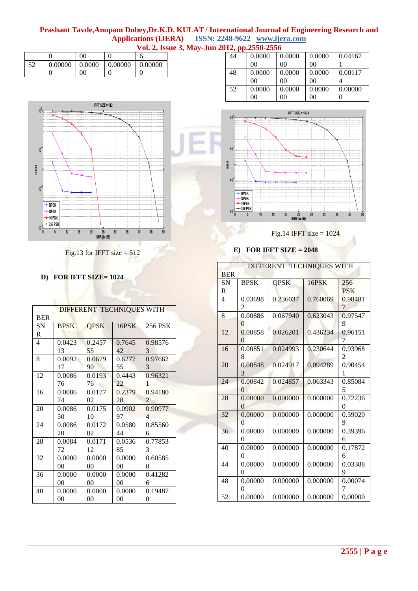|    |                    | 00 |         |         |
|----|--------------------|----|---------|---------|
| 52 | $0.00000$   0.0000 |    | 0.00000 | 0.00000 |
|    |                    | 00 |         |         |



Fig.13 for IFFT size  $= 512$ 

# **D) FOR IFFT SIZE= 1024**

| DIFFERENT TECHNIQUES WITH |                |             |        |                          |  |
|---------------------------|----------------|-------------|--------|--------------------------|--|
| <b>BER</b>                |                |             |        |                          |  |
| <b>SN</b>                 | <b>BPSK</b>    | <b>QPSK</b> | 16PSK  | 256 PSK                  |  |
| R                         |                |             |        |                          |  |
| $\overline{4}$            | 0.0423         | 0.2457      | 0.7645 | 0.98576                  |  |
|                           | 13             | 55          | 42     | 3                        |  |
| 8                         | 0.0092         | 0.0679      | 0.6277 | 0.97662                  |  |
|                           | 17             | 90          | 55     | 3                        |  |
| 12                        | 0.0086         | 0.0193      | 0.4443 | 0.96321                  |  |
|                           | 76             | 76          | 22     | 1                        |  |
| 16                        | 0.0086         | 0.0177      | 0.2379 | 0.94180                  |  |
|                           | 74             | 02          | 28     | $\mathfrak{D}$           |  |
| 20                        | 0.0086         | 0.0175      | 0.0902 | 0.90977                  |  |
|                           | 50             | 10          | 97     | $\overline{\mathcal{A}}$ |  |
| 24                        | 0.0086         | 0.0172      | 0.0580 | 0.85560                  |  |
|                           | 20             | 02          | 44     | 6                        |  |
| 28                        | 0.0084         | 0.0171      | 0.0536 | 0.77853                  |  |
|                           | 72             | 12          | 85     | 3                        |  |
| 32                        | 0.0000         | 0.0000      | 0.0000 | 0.60585                  |  |
|                           | 00             | 00          | 00     | 0                        |  |
| 36                        | 0.0000         | 0.0000      | 0.0000 | 0.41282                  |  |
|                           | 0 <sup>0</sup> | 00          | 00     | 6                        |  |
| 40                        | 0.0000         | 0.0000      | 0.0000 | 0.19487                  |  |
|                           | 00             | 00          | 00     | 0                        |  |

| 44 | 0.0000 | 0.0000 | 0.0000         | 0.04167 |  |  |
|----|--------|--------|----------------|---------|--|--|
|    | 00     | 00     | 00             |         |  |  |
| 48 | 0.0000 | 0.0000 | 0.0000         | 0.00117 |  |  |
|    | 00     | 00     | 00             |         |  |  |
| 52 | 0.0000 | 0.0000 | 0.0000         | 0.00000 |  |  |
|    | 00     | 00     | 0 <sup>0</sup> |         |  |  |



Fig.14 IFFT size  $= 1024$ 

|  | E) FOR IFFT SIZE = $2048$ |
|--|---------------------------|
|  | DIEEEDENT TECHNIO         |

| DIFFERENT TECHNIQUES WITH |                |             |          |            |  |  |
|---------------------------|----------------|-------------|----------|------------|--|--|
| <b>BER</b>                |                |             |          |            |  |  |
| <b>SN</b>                 | <b>BPSK</b>    | <b>QPSK</b> | 16PSK    | 256        |  |  |
| R                         |                |             |          | <b>PSK</b> |  |  |
| $\overline{\mathcal{L}}$  | 0.03698        | 0.236037    | 0.760069 | 0.98481    |  |  |
|                           | 2              |             |          | 7          |  |  |
| 8                         | 0.00886        | 0.067940    | 0.623043 | 0.97547    |  |  |
|                           | $\Omega$       |             |          | 9          |  |  |
| 12                        | 0.00858        | 0.026201    | 0.436234 | 0.96151    |  |  |
|                           | $\theta$       |             |          | 7          |  |  |
| 16                        | 0.00851        | 0.024993    | 0.230644 | 0.93968    |  |  |
|                           | 8              |             |          | 2          |  |  |
| 20                        | 0.00848        | 0.024917    | 0.094289 | 0.90454    |  |  |
|                           | 3              |             |          | 1          |  |  |
| 24                        | 0.00842        | 0.024857    | 0.063343 | 0.85084    |  |  |
|                           | 0              |             |          | 5          |  |  |
| 28                        | 0.00000        | 0.000000    | 0.000000 | 0.72236    |  |  |
|                           | 0              |             |          | 0          |  |  |
| 32                        | 0.00000        | 0.000000    | 0.000000 | 0.59020    |  |  |
|                           | $\overline{0}$ |             |          | 9          |  |  |
| 36                        | 0.00000        | 0.000000    | 0.000000 | 0.39396    |  |  |
|                           | 0              |             |          | 6          |  |  |
| 40                        | 0.00000        | 0.000000    | 0.000000 | 0.17872    |  |  |
|                           | $\Omega$       |             |          | 6          |  |  |
| 44                        | 0.00000        | 0.000000    | 0.000000 | 0.03388    |  |  |
|                           | $\theta$       |             |          | 9          |  |  |
| 48                        | 0.00000        | 0.000000    | 0.000000 | 0.00074    |  |  |
|                           | 0              |             |          | 7          |  |  |
| 52                        | 0.00000        | 0.000000    | 0.000000 | 0.00000    |  |  |